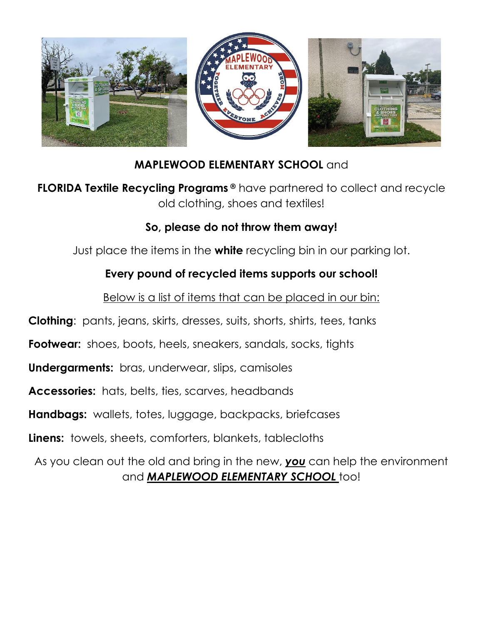

### **MAPLEWOOD ELEMENTARY SCHOOL** and

**FLORIDA Textile Recycling Programs ®** have partnered to collect and recycle old clothing, shoes and textiles!

#### **So, please do not throw them away!**

Just place the items in the **white** recycling bin in our parking lot.

#### **Every pound of recycled items supports our school!**

Below is a list of items that can be placed in our bin:

**Clothing**: pants, jeans, skirts, dresses, suits, shorts, shirts, tees, tanks

**Footwear:** shoes, boots, heels, sneakers, sandals, socks, tights

**Undergarments:** bras, underwear, slips, camisoles

**Accessories:** hats, belts, ties, scarves, headbands

**Handbags:** wallets, totes, luggage, backpacks, briefcases

**Linens:** towels, sheets, comforters, blankets, tablecloths

As you clean out the old and bring in the new, *you* can help the environment and *MAPLEWOOD ELEMENTARY SCHOOL* too!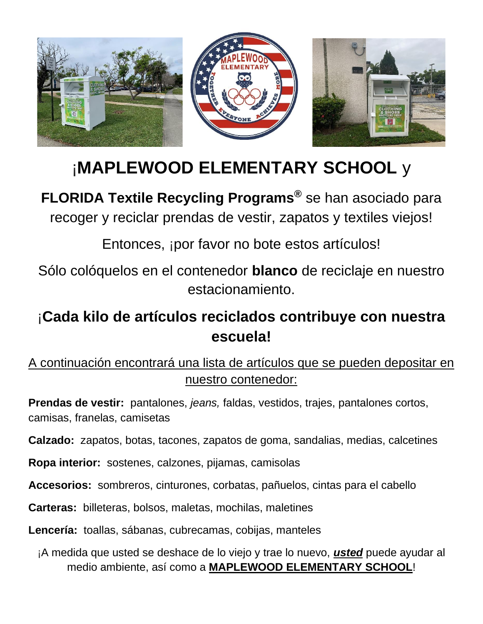

# ¡**MAPLEWOOD ELEMENTARY SCHOOL** y

**FLORIDA Textile Recycling Programs®** se han asociado para recoger y reciclar prendas de vestir, zapatos y textiles viejos!

Entonces, ¡por favor no bote estos artículos!

Sólo colóquelos en el contenedor **blanco** de reciclaje en nuestro estacionamiento.

# ¡**Cada kilo de artículos reciclados contribuye con nuestra escuela!**

## A continuación encontrará una lista de artículos que se pueden depositar en nuestro contenedor:

**Prendas de vestir:** pantalones, *jeans,* faldas, vestidos, trajes, pantalones cortos, camisas, franelas, camisetas

**Calzado:** zapatos, botas, tacones, zapatos de goma, sandalias, medias, calcetines

**Ropa interior:** sostenes, calzones, pijamas, camisolas

**Accesorios:** sombreros, cinturones, corbatas, pañuelos, cintas para el cabello

**Carteras:** billeteras, bolsos, maletas, mochilas, maletines

**Lencería:** toallas, sábanas, cubrecamas, cobijas, manteles

¡A medida que usted se deshace de lo viejo y trae lo nuevo, *usted* puede ayudar al medio ambiente, así como a **MAPLEWOOD ELEMENTARY SCHOOL**!